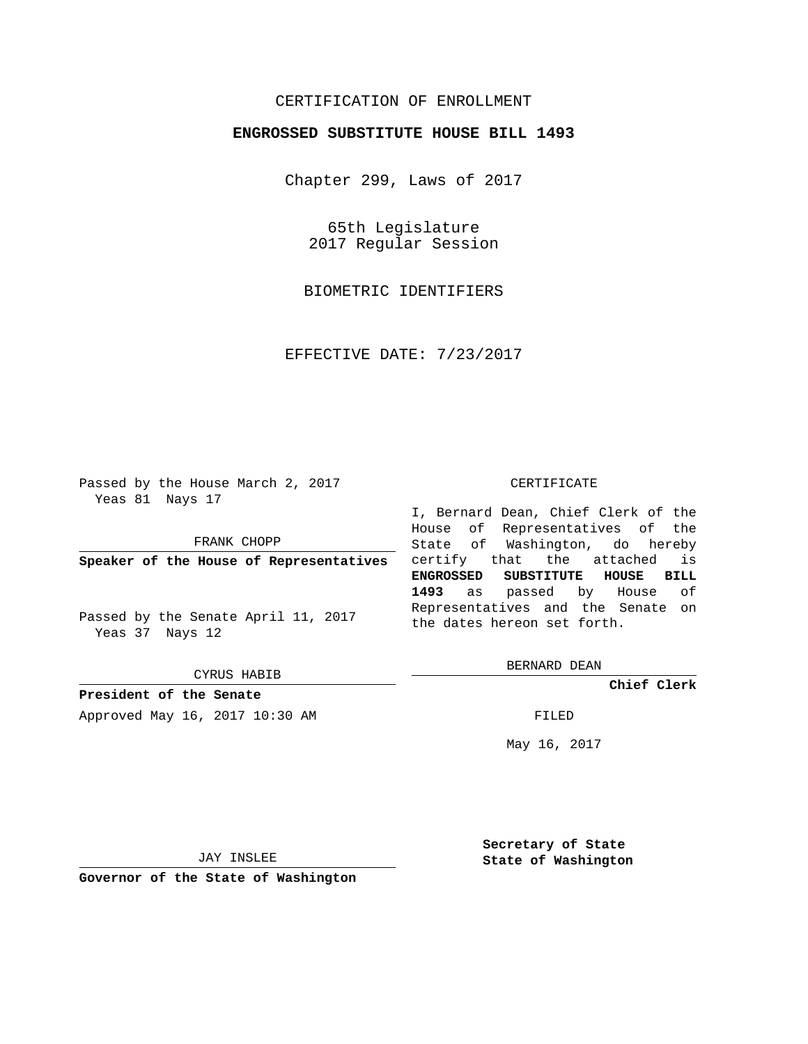## CERTIFICATION OF ENROLLMENT

## **ENGROSSED SUBSTITUTE HOUSE BILL 1493**

Chapter 299, Laws of 2017

65th Legislature 2017 Regular Session

BIOMETRIC IDENTIFIERS

EFFECTIVE DATE: 7/23/2017

Passed by the House March 2, 2017 Yeas 81 Nays 17

FRANK CHOPP

**Speaker of the House of Representatives**

Passed by the Senate April 11, 2017 Yeas 37 Nays 12

CYRUS HABIB

**President of the Senate**

Approved May 16, 2017 10:30 AM FILED

## CERTIFICATE

I, Bernard Dean, Chief Clerk of the House of Representatives of the State of Washington, do hereby certify that the attached is **ENGROSSED SUBSTITUTE HOUSE BILL 1493** as passed by House of Representatives and the Senate on the dates hereon set forth.

BERNARD DEAN

**Chief Clerk**

May 16, 2017

JAY INSLEE

**Governor of the State of Washington**

**Secretary of State State of Washington**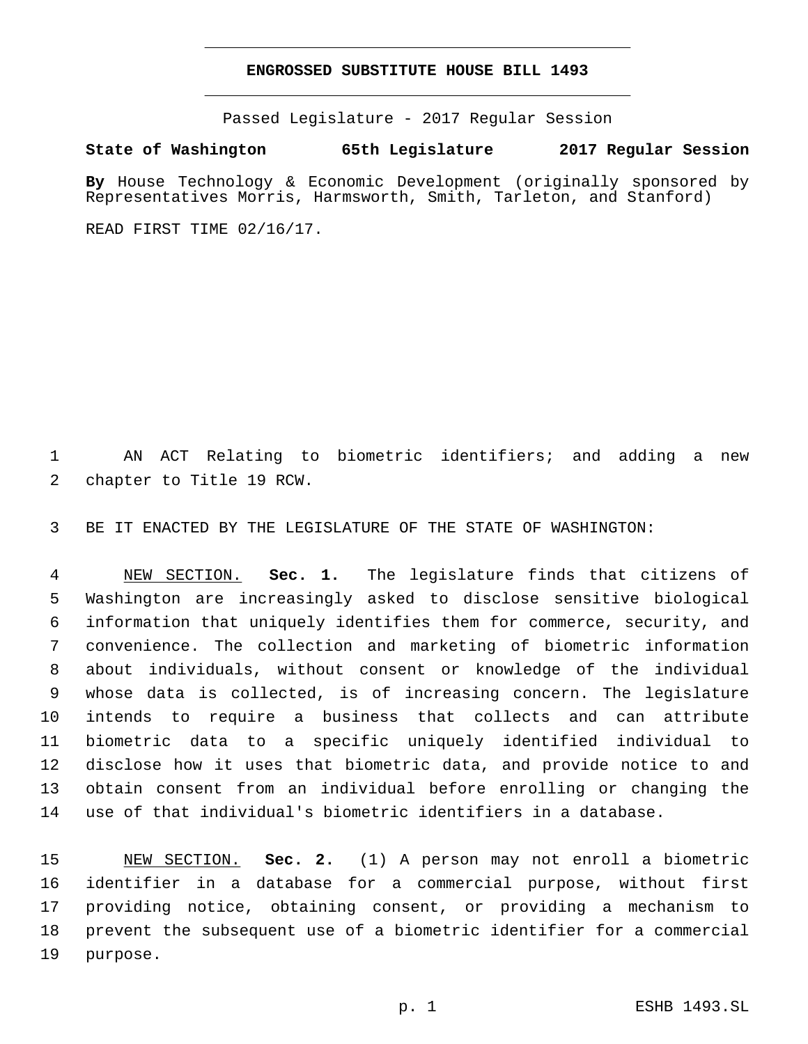## **ENGROSSED SUBSTITUTE HOUSE BILL 1493**

Passed Legislature - 2017 Regular Session

**State of Washington 65th Legislature 2017 Regular Session**

**By** House Technology & Economic Development (originally sponsored by Representatives Morris, Harmsworth, Smith, Tarleton, and Stanford)

READ FIRST TIME 02/16/17.

 AN ACT Relating to biometric identifiers; and adding a new 2 chapter to Title 19 RCW.

BE IT ENACTED BY THE LEGISLATURE OF THE STATE OF WASHINGTON:

 NEW SECTION. **Sec. 1.** The legislature finds that citizens of Washington are increasingly asked to disclose sensitive biological information that uniquely identifies them for commerce, security, and convenience. The collection and marketing of biometric information about individuals, without consent or knowledge of the individual whose data is collected, is of increasing concern. The legislature intends to require a business that collects and can attribute biometric data to a specific uniquely identified individual to disclose how it uses that biometric data, and provide notice to and obtain consent from an individual before enrolling or changing the use of that individual's biometric identifiers in a database.

 NEW SECTION. **Sec. 2.** (1) A person may not enroll a biometric identifier in a database for a commercial purpose, without first providing notice, obtaining consent, or providing a mechanism to prevent the subsequent use of a biometric identifier for a commercial purpose.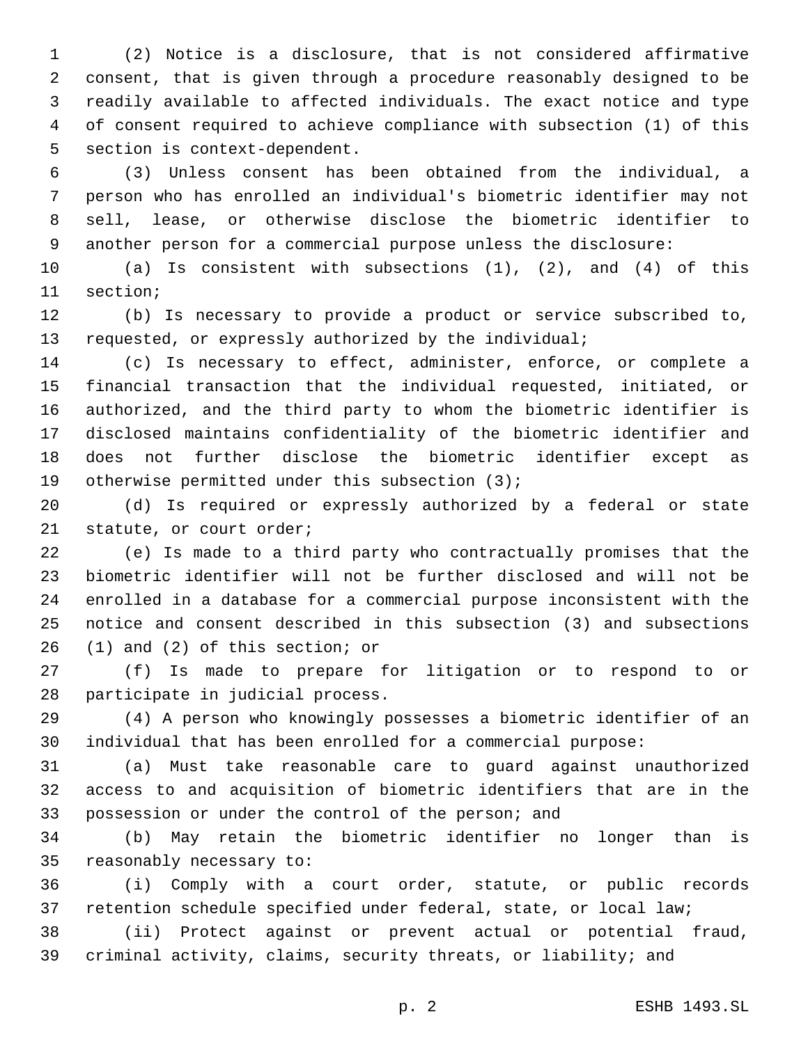(2) Notice is a disclosure, that is not considered affirmative consent, that is given through a procedure reasonably designed to be readily available to affected individuals. The exact notice and type of consent required to achieve compliance with subsection (1) of this 5 section is context-dependent.

 (3) Unless consent has been obtained from the individual, a person who has enrolled an individual's biometric identifier may not sell, lease, or otherwise disclose the biometric identifier to another person for a commercial purpose unless the disclosure:

 (a) Is consistent with subsections (1), (2), and (4) of this 11 section;

 (b) Is necessary to provide a product or service subscribed to, requested, or expressly authorized by the individual;

 (c) Is necessary to effect, administer, enforce, or complete a financial transaction that the individual requested, initiated, or authorized, and the third party to whom the biometric identifier is disclosed maintains confidentiality of the biometric identifier and does not further disclose the biometric identifier except as 19 otherwise permitted under this subsection  $(3)$ ;

 (d) Is required or expressly authorized by a federal or state 21 statute, or court order;

 (e) Is made to a third party who contractually promises that the biometric identifier will not be further disclosed and will not be enrolled in a database for a commercial purpose inconsistent with the notice and consent described in this subsection (3) and subsections  $(1)$  and  $(2)$  of this section; or

 (f) Is made to prepare for litigation or to respond to or 28 participate in judicial process.

 (4) A person who knowingly possesses a biometric identifier of an individual that has been enrolled for a commercial purpose:

 (a) Must take reasonable care to guard against unauthorized access to and acquisition of biometric identifiers that are in the possession or under the control of the person; and

 (b) May retain the biometric identifier no longer than is 35 reasonably necessary to:

 (i) Comply with a court order, statute, or public records retention schedule specified under federal, state, or local law;

 (ii) Protect against or prevent actual or potential fraud, criminal activity, claims, security threats, or liability; and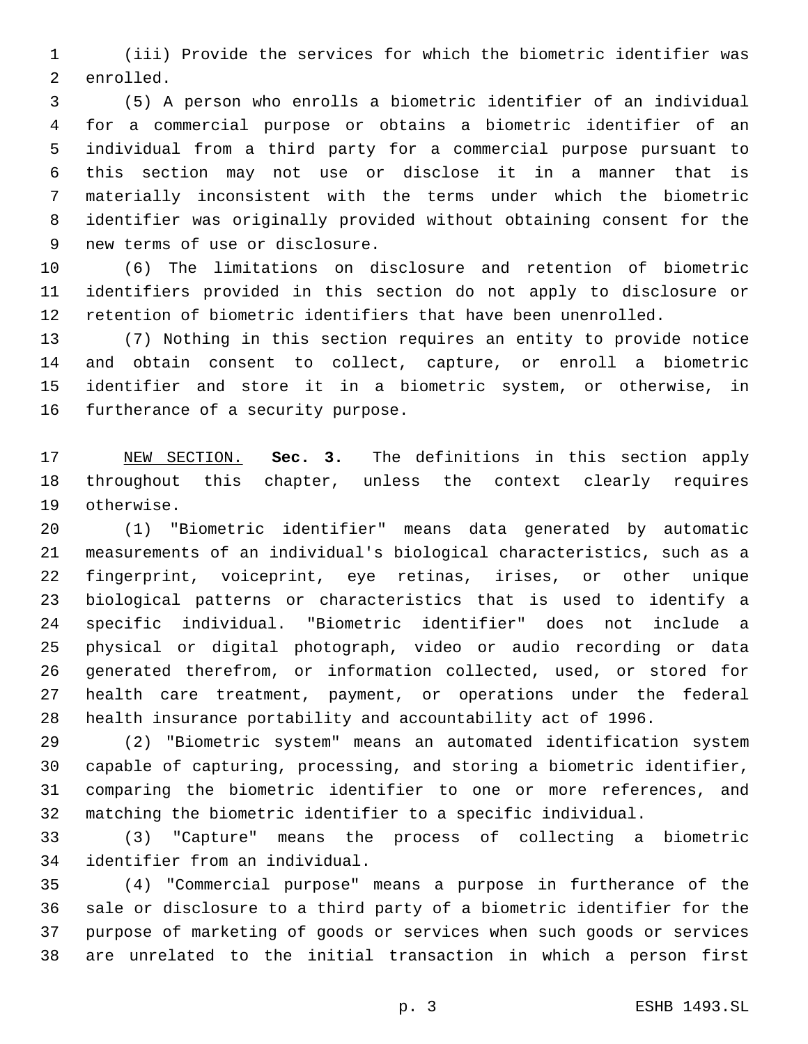(iii) Provide the services for which the biometric identifier was 2 enrolled.

 (5) A person who enrolls a biometric identifier of an individual for a commercial purpose or obtains a biometric identifier of an individual from a third party for a commercial purpose pursuant to this section may not use or disclose it in a manner that is materially inconsistent with the terms under which the biometric identifier was originally provided without obtaining consent for the 9 new terms of use or disclosure.

 (6) The limitations on disclosure and retention of biometric identifiers provided in this section do not apply to disclosure or retention of biometric identifiers that have been unenrolled.

 (7) Nothing in this section requires an entity to provide notice and obtain consent to collect, capture, or enroll a biometric identifier and store it in a biometric system, or otherwise, in 16 furtherance of a security purpose.

 NEW SECTION. **Sec. 3.** The definitions in this section apply throughout this chapter, unless the context clearly requires otherwise.

 (1) "Biometric identifier" means data generated by automatic measurements of an individual's biological characteristics, such as a fingerprint, voiceprint, eye retinas, irises, or other unique biological patterns or characteristics that is used to identify a specific individual. "Biometric identifier" does not include a physical or digital photograph, video or audio recording or data generated therefrom, or information collected, used, or stored for health care treatment, payment, or operations under the federal health insurance portability and accountability act of 1996.

 (2) "Biometric system" means an automated identification system capable of capturing, processing, and storing a biometric identifier, comparing the biometric identifier to one or more references, and matching the biometric identifier to a specific individual.

 (3) "Capture" means the process of collecting a biometric 34 identifier from an individual.

 (4) "Commercial purpose" means a purpose in furtherance of the sale or disclosure to a third party of a biometric identifier for the purpose of marketing of goods or services when such goods or services are unrelated to the initial transaction in which a person first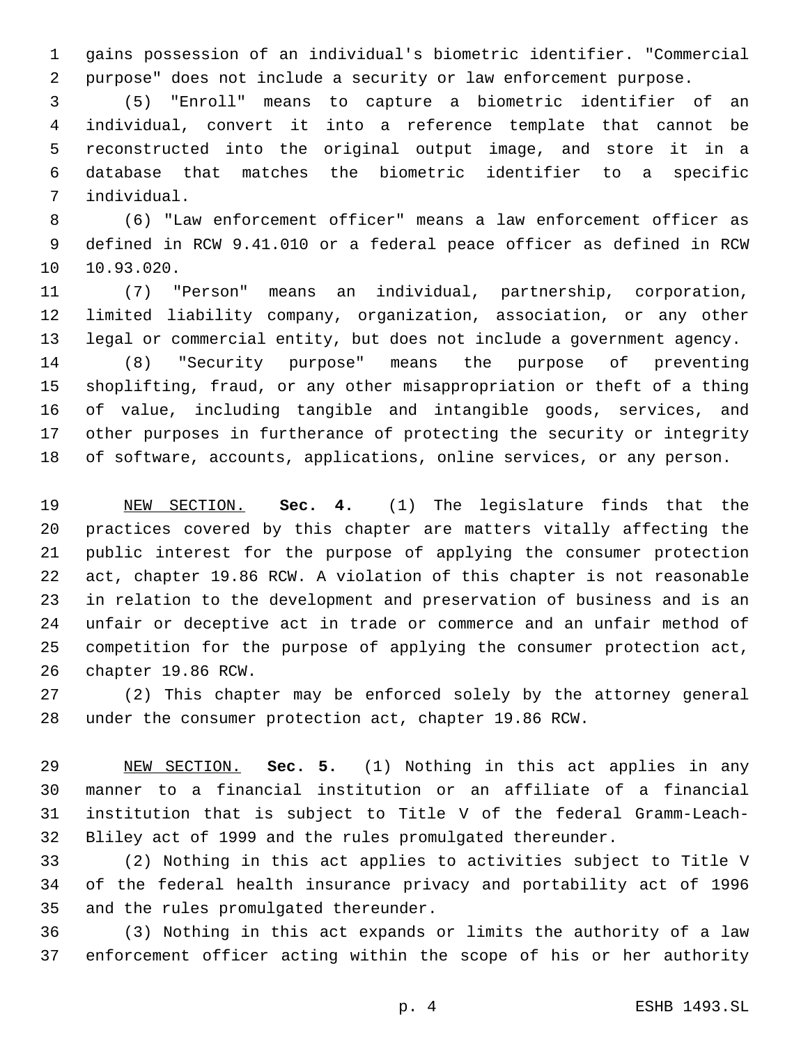gains possession of an individual's biometric identifier. "Commercial purpose" does not include a security or law enforcement purpose.

 (5) "Enroll" means to capture a biometric identifier of an individual, convert it into a reference template that cannot be reconstructed into the original output image, and store it in a database that matches the biometric identifier to a specific individual.7

 (6) "Law enforcement officer" means a law enforcement officer as defined in RCW 9.41.010 or a federal peace officer as defined in RCW 10.93.020.

 (7) "Person" means an individual, partnership, corporation, limited liability company, organization, association, or any other legal or commercial entity, but does not include a government agency.

 (8) "Security purpose" means the purpose of preventing shoplifting, fraud, or any other misappropriation or theft of a thing of value, including tangible and intangible goods, services, and other purposes in furtherance of protecting the security or integrity of software, accounts, applications, online services, or any person.

 NEW SECTION. **Sec. 4.** (1) The legislature finds that the practices covered by this chapter are matters vitally affecting the public interest for the purpose of applying the consumer protection act, chapter 19.86 RCW. A violation of this chapter is not reasonable in relation to the development and preservation of business and is an unfair or deceptive act in trade or commerce and an unfair method of competition for the purpose of applying the consumer protection act, chapter 19.86 RCW.

 (2) This chapter may be enforced solely by the attorney general under the consumer protection act, chapter 19.86 RCW.

 NEW SECTION. **Sec. 5.** (1) Nothing in this act applies in any manner to a financial institution or an affiliate of a financial institution that is subject to Title V of the federal Gramm-Leach-Bliley act of 1999 and the rules promulgated thereunder.

 (2) Nothing in this act applies to activities subject to Title V of the federal health insurance privacy and portability act of 1996 35 and the rules promulgated thereunder.

 (3) Nothing in this act expands or limits the authority of a law enforcement officer acting within the scope of his or her authority